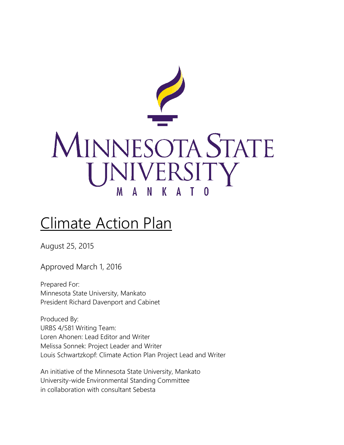

# Climate Action Plan

August 25, 2015

Approved March 1, 2016

Prepared For: Minnesota State University, Mankato President Richard Davenport and Cabinet

Produced By: URBS 4/581 Writing Team: Loren Ahonen: Lead Editor and Writer Melissa Sonnek: Project Leader and Writer Louis Schwartzkopf: Climate Action Plan Project Lead and Writer

An initiative of the Minnesota State University, Mankato University-wide Environmental Standing Committee in collaboration with consultant Sebesta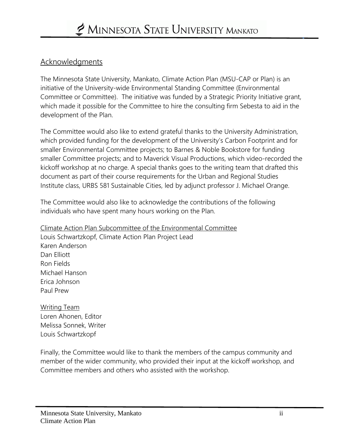#### Acknowledgments

The Minnesota State University, Mankato, Climate Action Plan (MSU-CAP or Plan) is an initiative of the University-wide Environmental Standing Committee (Environmental Committee or Committee). The initiative was funded by a Strategic Priority Initiative grant, which made it possible for the Committee to hire the consulting firm Sebesta to aid in the development of the Plan.

The Committee would also like to extend grateful thanks to the University Administration, which provided funding for the development of the University's Carbon Footprint and for smaller Environmental Committee projects; to Barnes & Noble Bookstore for funding smaller Committee projects; and to Maverick Visual Productions, which video-recorded the kickoff workshop at no charge. A special thanks goes to the writing team that drafted this document as part of their course requirements for the Urban and Regional Studies Institute class, URBS 581 Sustainable Cities, led by adjunct professor J. Michael Orange.

The Committee would also like to acknowledge the contributions of the following individuals who have spent many hours working on the Plan.

Climate Action Plan Subcommittee of the Environmental Committee Louis Schwartzkopf, Climate Action Plan Project Lead Karen Anderson Dan Elliott Ron Fields Michael Hanson Erica Johnson Paul Prew

Writing Team Loren Ahonen, Editor Melissa Sonnek, Writer Louis Schwartzkopf

Finally, the Committee would like to thank the members of the campus community and member of the wider community, who provided their input at the kickoff workshop, and Committee members and others who assisted with the workshop.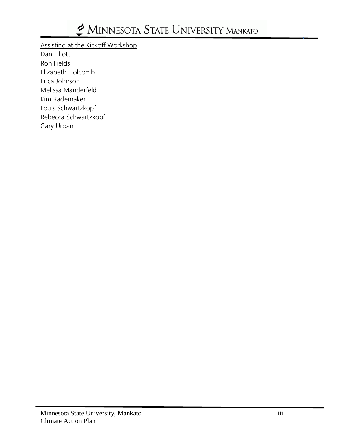Assisting at the Kickoff Workshop

Dan Elliott Ron Fields Elizabeth Holcomb Erica Johnson Melissa Manderfeld Kim Rademaker Louis Schwartzkopf Rebecca Schwartzkopf Gary Urban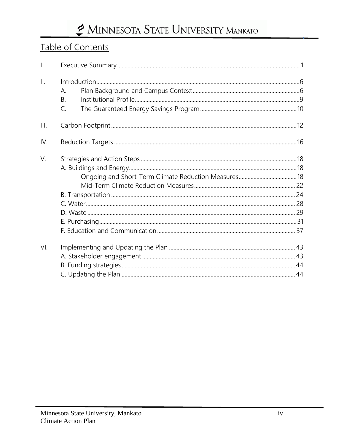### Table of Contents

| $\mathsf{L}$    |                |  |
|-----------------|----------------|--|
| $\mathbf{II}$ . |                |  |
|                 | А.             |  |
|                 | B.             |  |
|                 | $\mathsf{C}$ . |  |
| III.            |                |  |
| IV.             |                |  |
| V.              |                |  |
|                 |                |  |
|                 |                |  |
|                 |                |  |
|                 |                |  |
|                 |                |  |
|                 |                |  |
|                 |                |  |
|                 |                |  |
| VI.             |                |  |
|                 |                |  |
|                 |                |  |
|                 |                |  |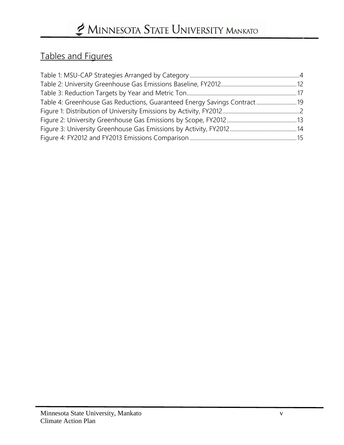### Tables and Figures

| Table 4: Greenhouse Gas Reductions, Guaranteed Energy Savings Contract 19 |  |
|---------------------------------------------------------------------------|--|
|                                                                           |  |
|                                                                           |  |
|                                                                           |  |
|                                                                           |  |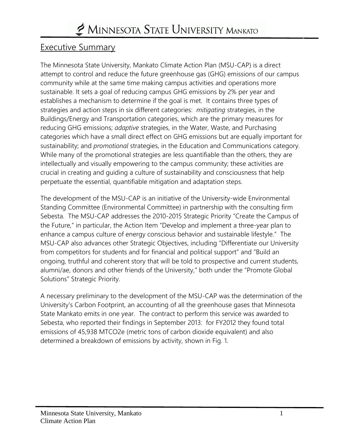### Executive Summary

The Minnesota State University, Mankato Climate Action Plan (MSU-CAP) is a direct attempt to control and reduce the future greenhouse gas (GHG) emissions of our campus community while at the same time making campus activities and operations more sustainable. It sets a goal of reducing campus GHG emissions by 2% per year and establishes a mechanism to determine if the goal is met. It contains three types of strategies and action steps in six different categories: *mitigating* strategies, in the Buildings/Energy and Transportation categories, which are the primary measures for reducing GHG emissions; *adaptive* strategies, in the Water, Waste, and Purchasing categories which have a small direct effect on GHG emissions but are equally important for sustainability; and *promotional* strategies, in the Education and Communications category. While many of the promotional strategies are less quantifiable than the others, they are intellectually and visually empowering to the campus community; these activities are crucial in creating and guiding a culture of sustainability and consciousness that help perpetuate the essential, quantifiable mitigation and adaptation steps.

The development of the MSU-CAP is an initiative of the University-wide Environmental Standing Committee (Environmental Committee) in partnership with the consulting firm Sebesta. The MSU-CAP addresses the 2010-2015 Strategic Priority "Create the Campus of the Future," in particular, the Action Item "Develop and implement a three-year plan to enhance a campus culture of energy conscious behavior and sustainable lifestyle." The MSU-CAP also advances other Strategic Objectives, including "Differentiate our University from competitors for students and for financial and political support" and "Build an ongoing, truthful and coherent story that will be told to prospective and current students, alumni/ae, donors and other friends of the University," both under the "Promote Global Solutions" Strategic Priority.

A necessary preliminary to the development of the MSU-CAP was the determination of the University's Carbon Footprint, an accounting of all the greenhouse gases that Minnesota State Mankato emits in one year. The contract to perform this service was awarded to Sebesta, who reported their findings in September 2013: for FY2012 they found total emissions of 45,938 MTCO2e (metric tons of carbon dioxide equivalent) and also determined a breakdown of emissions by activity, shown in Fig. 1.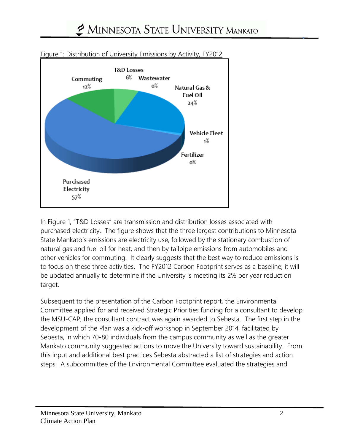

#### Figure 1: Distribution of University Emissions by Activity, FY2012

In Figure 1, "T&D Losses" are transmission and distribution losses associated with purchased electricity. The figure shows that the three largest contributions to Minnesota State Mankato's emissions are electricity use, followed by the stationary combustion of natural gas and fuel oil for heat, and then by tailpipe emissions from automobiles and other vehicles for commuting. It clearly suggests that the best way to reduce emissions is to focus on these three activities. The FY2012 Carbon Footprint serves as a baseline; it will be updated annually to determine if the University is meeting its 2% per year reduction target.

Subsequent to the presentation of the Carbon Footprint report, the Environmental Committee applied for and received Strategic Priorities funding for a consultant to develop the MSU-CAP; the consultant contract was again awarded to Sebesta. The first step in the development of the Plan was a kick-off workshop in September 2014, facilitated by Sebesta, in which 70-80 individuals from the campus community as well as the greater Mankato community suggested actions to move the University toward sustainability. From this input and additional best practices Sebesta abstracted a list of strategies and action steps. A subcommittee of the Environmental Committee evaluated the strategies and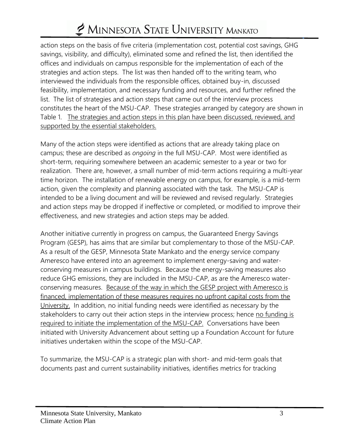action steps on the basis of five criteria (implementation cost, potential cost savings, GHG savings, visibility, and difficulty), eliminated some and refined the list, then identified the offices and individuals on campus responsible for the implementation of each of the strategies and action steps. The list was then handed off to the writing team, who interviewed the individuals from the responsible offices, obtained buy-in, discussed feasibility, implementation, and necessary funding and resources, and further refined the list. The list of strategies and action steps that came out of the interview process constitutes the heart of the MSU-CAP. These strategies arranged by category are shown in Table 1. The strategies and action steps in this plan have been discussed, reviewed, and supported by the essential stakeholders.

Many of the action steps were identified as actions that are already taking place on campus; these are described as *ongoing* in the full MSU-CAP. Most were identified as short-term, requiring somewhere between an academic semester to a year or two for realization. There are, however, a small number of mid-term actions requiring a multi-year time horizon. The installation of renewable energy on campus, for example, is a mid-term action, given the complexity and planning associated with the task. The MSU-CAP is intended to be a living document and will be reviewed and revised regularly. Strategies and action steps may be dropped if ineffective or completed, or modified to improve their effectiveness, and new strategies and action steps may be added.

Another initiative currently in progress on campus, the Guaranteed Energy Savings Program (GESP), has aims that are similar but complementary to those of the MSU-CAP. As a result of the GESP, Minnesota State Mankato and the energy service company Ameresco have entered into an agreement to implement energy-saving and waterconserving measures in campus buildings. Because the energy-saving measures also reduce GHG emissions, they are included in the MSU-CAP, as are the Ameresco waterconserving measures. Because of the way in which the GESP project with Ameresco is financed, implementation of these measures requires no upfront capital costs from the University. In addition, no initial funding needs were identified as necessary by the stakeholders to carry out their action steps in the interview process; hence no funding is required to initiate the implementation of the MSU-CAP. Conversations have been initiated with University Advancement about setting up a Foundation Account for future initiatives undertaken within the scope of the MSU-CAP.

To summarize, the MSU-CAP is a strategic plan with short- and mid-term goals that documents past and current sustainability initiatives, identifies metrics for tracking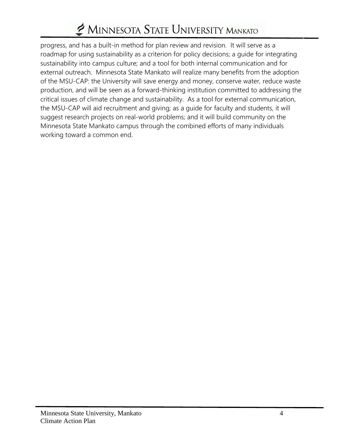progress, and has a built-in method for plan review and revision. It will serve as a roadmap for using sustainability as a criterion for policy decisions; a guide for integrating sustainability into campus culture; and a tool for both internal communication and for external outreach. Minnesota State Mankato will realize many benefits from the adoption of the MSU-CAP: the University will save energy and money, conserve water, reduce waste production, and will be seen as a forward-thinking institution committed to addressing the critical issues of climate change and sustainability. As a tool for external communication, the MSU-CAP will aid recruitment and giving; as a guide for faculty and students, it will suggest research projects on real-world problems; and it will build community on the Minnesota State Mankato campus through the combined efforts of many individuals working toward a common end.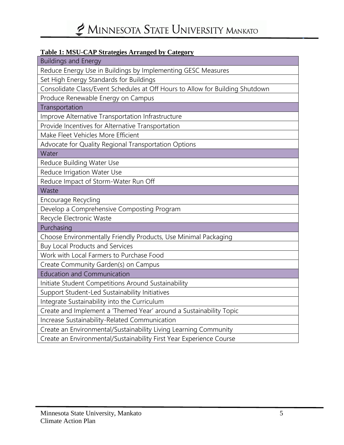#### **Table 1: MSU-CAP Strategies Arranged by Category**

| <b>Buildings and Energy</b>                                                   |  |  |  |
|-------------------------------------------------------------------------------|--|--|--|
| Reduce Energy Use in Buildings by Implementing GESC Measures                  |  |  |  |
| Set High Energy Standards for Buildings                                       |  |  |  |
| Consolidate Class/Event Schedules at Off Hours to Allow for Building Shutdown |  |  |  |
| Produce Renewable Energy on Campus                                            |  |  |  |
| Transportation                                                                |  |  |  |
| Improve Alternative Transportation Infrastructure                             |  |  |  |
| Provide Incentives for Alternative Transportation                             |  |  |  |
| Make Fleet Vehicles More Efficient                                            |  |  |  |
| Advocate for Quality Regional Transportation Options                          |  |  |  |
| Water                                                                         |  |  |  |
| Reduce Building Water Use                                                     |  |  |  |
| Reduce Irrigation Water Use                                                   |  |  |  |
| Reduce Impact of Storm-Water Run Off                                          |  |  |  |
| Waste                                                                         |  |  |  |
| Encourage Recycling                                                           |  |  |  |
| Develop a Comprehensive Composting Program                                    |  |  |  |
| Recycle Electronic Waste                                                      |  |  |  |
| Purchasing                                                                    |  |  |  |
| Choose Environmentally Friendly Products, Use Minimal Packaging               |  |  |  |
| <b>Buy Local Products and Services</b>                                        |  |  |  |
| Work with Local Farmers to Purchase Food                                      |  |  |  |
| Create Community Garden(s) on Campus                                          |  |  |  |
| <b>Education and Communication</b>                                            |  |  |  |
| Initiate Student Competitions Around Sustainability                           |  |  |  |
| Support Student-Led Sustainability Initiatives                                |  |  |  |
| Integrate Sustainability into the Curriculum                                  |  |  |  |
| Create and Implement a 'Themed Year' around a Sustainability Topic            |  |  |  |
| Increase Sustainability-Related Communication                                 |  |  |  |
| Create an Environmental/Sustainability Living Learning Community              |  |  |  |
| Create an Environmental/Sustainability First Year Experience Course           |  |  |  |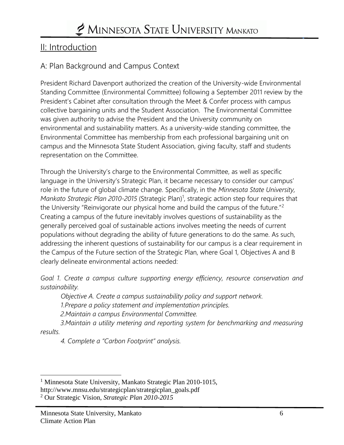### II: Introduction

### A: Plan Background and Campus Context

President Richard Davenport authorized the creation of the University-wide Environmental Standing Committee (Environmental Committee) following a September 2011 review by the President's Cabinet after consultation through the Meet & Confer process with campus collective bargaining units and the Student Association. The Environmental Committee was given authority to advise the President and the University community on environmental and sustainability matters. As a university-wide standing committee, the Environmental Committee has membership from each professional bargaining unit on campus and the Minnesota State Student Association, giving faculty, staff and students representation on the Committee.

Through the University's charge to the Environmental Committee, as well as specific language in the University's Strategic Plan, it became necessary to consider our campus' role in the future of global climate change. Specifically, in the *Minnesota State University,*  Mankato Strategic Plan 2010-2015 (Strategic Plan)<sup>1</sup>, strategic action step four requires that the University "Reinvigorate our physical home and build the campus of the future."<sup>2</sup> Creating a campus of the future inevitably involves questions of sustainability as the generally perceived goal of sustainable actions involves meeting the needs of current populations without degrading the ability of future generations to do the same. As such, addressing the inherent questions of sustainability for our campus is a clear requirement in the Campus of the Future section of the Strategic Plan, where Goal 1, Objectives A and B clearly delineate environmental actions needed:

*Goal 1. Create a campus culture supporting energy efficiency, resource conservation and sustainability.*

*Objective A. Create a campus sustainability policy and support network.*

*1.Prepare a policy statement and implementation principles.*

*2.Maintain a campus Environmental Committee.*

*3.Maintain a utility metering and reporting system for benchmarking and measuring results.*

*4. Complete a "Carbon Footprint" analysis.*

 $\overline{a}$ <sup>1</sup> Minnesota State University, Mankato Strategic Plan 2010-1015,

http://www.mnsu.edu/strategicplan/strategicplan\_goals.pdf

<sup>2</sup> Our Strategic Vision, *Strategic Plan 2010-2015*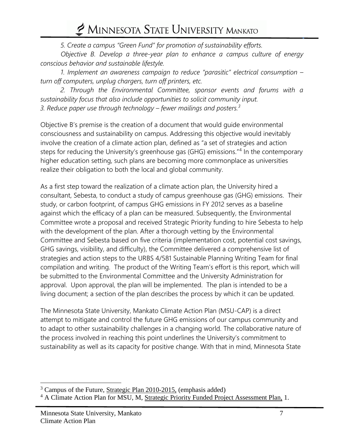*5. Create a campus "Green Fund" for promotion of sustainability efforts.*

*Objective B. Develop a three-year plan to enhance a campus culture of energy conscious behavior and sustainable lifestyle.*

*1. Implement an awareness campaign to reduce "parasitic" electrical consumption – turn off computers, unplug chargers, turn off printers, etc.*

*2. Through the Environmental Committee, sponsor events and forums with a sustainability focus that also include opportunities to solicit community input. 3. Reduce paper use through technology – fewer mailings and posters.<sup>3</sup>*

Objective B's premise is the creation of a document that would guide environmental consciousness and sustainability on campus. Addressing this objective would inevitably involve the creation of a climate action plan, defined as "a set of strategies and action steps for reducing the University's greenhouse gas (GHG) emissions."<sup>4</sup> In the contemporary higher education setting, such plans are becoming more commonplace as universities realize their obligation to both the local and global community.

As a first step toward the realization of a climate action plan, the University hired a consultant, Sebesta, to conduct a study of campus greenhouse gas (GHG) emissions. Their study, or carbon footprint, of campus GHG emissions in FY 2012 serves as a baseline against which the efficacy of a plan can be measured. Subsequently, the Environmental Committee wrote a proposal and received Strategic Priority funding to hire Sebesta to help with the development of the plan. After a thorough vetting by the Environmental Committee and Sebesta based on five criteria (implementation cost, potential cost savings, GHG savings, visibility, and difficulty), the Committee delivered a comprehensive list of strategies and action steps to the URBS 4/581 Sustainable Planning Writing Team for final compilation and writing. The product of the Writing Team's effort is this report, which will be submitted to the Environmental Committee and the University Administration for approval. Upon approval, the plan will be implemented. The plan is intended to be a living document; a section of the plan describes the process by which it can be updated.

The Minnesota State University, Mankato Climate Action Plan (MSU-CAP) is a direct attempt to mitigate and control the future GHG emissions of our campus community and to adapt to other sustainability challenges in a changing world. The collaborative nature of the process involved in reaching this point underlines the University's commitment to sustainability as well as its capacity for positive change. With that in mind, Minnesota State

 $\overline{a}$ 

<sup>3</sup> Campus of the Future, Strategic Plan 2010-2015, (emphasis added)

<sup>&</sup>lt;sup>4</sup> A Climate Action Plan for MSU, M, Strategic Priority Funded Project Assessment Plan, 1.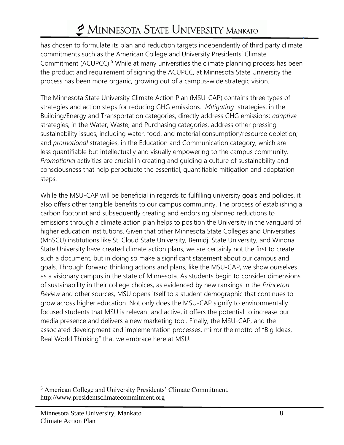has chosen to formulate its plan and reduction targets independently of third party climate commitments such as the American College and University Presidents' Climate Commitment (ACUPCC).<sup>5</sup> While at many universities the climate planning process has been the product and requirement of signing the ACUPCC, at Minnesota State University the process has been more organic, growing out of a campus-wide strategic vision.

The Minnesota State University Climate Action Plan (MSU-CAP) contains three types of strategies and action steps for reducing GHG emissions. *Mitigating* strategies, in the Building/Energy and Transportation categories, directly address GHG emissions; *adaptive* strategies, in the Water, Waste, and Purchasing categories, address other pressing sustainability issues, including water, food, and material consumption/resource depletion; and *promotional* strategies, in the Education and Communication category, which are less quantifiable but intellectually and visually empowering to the campus community. *Promotional* activities are crucial in creating and guiding a culture of sustainability and consciousness that help perpetuate the essential, quantifiable mitigation and adaptation steps.

While the MSU-CAP will be beneficial in regards to fulfilling university goals and policies, it also offers other tangible benefits to our campus community. The process of establishing a carbon footprint and subsequently creating and endorsing planned reductions to emissions through a climate action plan helps to position the University in the vanguard of higher education institutions. Given that other Minnesota State Colleges and Universities (MnSCU) institutions like St. Cloud State University, Bemidji State University, and Winona State University have created climate action plans, we are certainly not the first to create such a document, but in doing so make a significant statement about our campus and goals. Through forward thinking actions and plans, like the MSU-CAP, we show ourselves as a visionary campus in the state of Minnesota. As students begin to consider dimensions of sustainability in their college choices, as evidenced by new rankings in the *Princeton Review* and other sources, MSU opens itself to a student demographic that continues to grow across higher education. Not only does the MSU-CAP signify to environmentally focused students that MSU is relevant and active, it offers the potential to increase our media presence and delivers a new marketing tool. Finally, the MSU-CAP, and the associated development and implementation processes, mirror the motto of "Big Ideas, Real World Thinking" that we embrace here at MSU.

 $\overline{a}$ 

<sup>5</sup> American College and University Presidents' Climate Commitment, http://www.presidentsclimatecommitment.org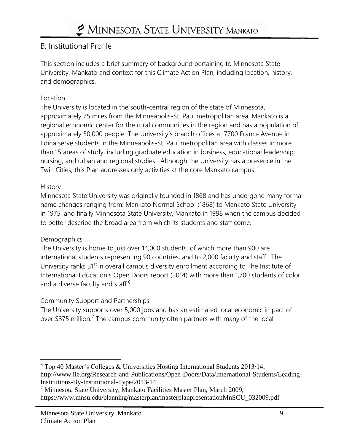### B: Institutional Profile

This section includes a brief summary of background pertaining to Minnesota State University, Mankato and context for this Climate Action Plan, including location, history, and demographics.

#### Location

The University is located in the south-central region of the state of Minnesota, approximately 75 miles from the Minneapolis-St. Paul metropolitan area. Mankato is a regional economic center for the rural communities in the region and has a population of approximately 50,000 people. The University's branch offices at 7700 France Avenue in Edina serve students in the Minneapolis-St. Paul metropolitan area with classes in more than 15 areas of study, including graduate education in business, educational leadership, nursing, and urban and regional studies. Although the University has a presence in the Twin Cities, this Plan addresses only activities at the core Mankato campus.

#### **History**

Minnesota State University was originally founded in 1868 and has undergone many formal name changes ranging from: Mankato Normal School (1868) to Mankato State University in 1975, and finally Minnesota State University, Mankato in 1998 when the campus decided to better describe the broad area from which its students and staff come.

#### **Demographics**

The University is home to just over 14,000 students, of which more than 900 are international students representing 90 countries, and to 2,000 faculty and staff. The University ranks 31<sup>st</sup> in overall campus diversity enrollment according to The Institute of International Education's Open Doors report (2014) with more than 1,700 students of color and a diverse faculty and staff.<sup>6</sup>

#### Community Support and Partnerships

The University supports over 5,000 jobs and has an estimated local economic impact of over \$375 million.<sup>7</sup> The campus community often partners with many of the local

 $\overline{a}$ <sup>6</sup> Top 40 Master's Colleges & Universities Hosting International Students 2013/14, http://www.iie.org/Research-and-Publications/Open-Doors/Data/International-Students/Leading-Institutions-By-Institutional-Type/2013-14

<sup>&</sup>lt;sup>7</sup> Minnesota State University, Mankato Facilities Master Plan, March 2009, https://www.mnsu.edu/planning/masterplan/masterplanpresentationMnSCU\_032009.pdf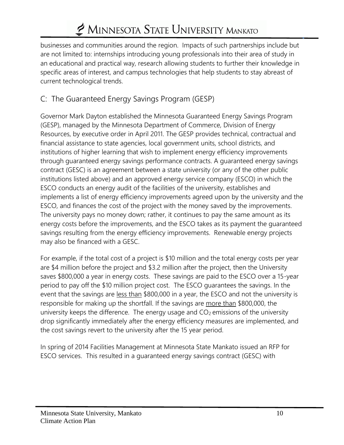businesses and communities around the region. Impacts of such partnerships include but are not limited to: internships introducing young professionals into their area of study in an educational and practical way, research allowing students to further their knowledge in specific areas of interest, and campus technologies that help students to stay abreast of current technological trends.

### C: The Guaranteed Energy Savings Program (GESP)

Governor Mark Dayton established the Minnesota Guaranteed Energy Savings Program (GESP), managed by the Minnesota Department of Commerce, Division of Energy Resources, by executive order in April 2011. The GESP provides technical, contractual and financial assistance to state agencies, local government units, school districts, and institutions of higher learning that wish to implement energy efficiency improvements through guaranteed energy savings performance contracts. A guaranteed energy savings contract (GESC) is an agreement between a state university (or any of the other public institutions listed above) and an approved energy service company (ESCO) in which the ESCO conducts an energy audit of the facilities of the university, establishes and implements a list of energy efficiency improvements agreed upon by the university and the ESCO, and finances the cost of the project with the money saved by the improvements. The university pays no money down; rather, it continues to pay the same amount as its energy costs before the improvements, and the ESCO takes as its payment the guaranteed savings resulting from the energy efficiency improvements. Renewable energy projects may also be financed with a GESC.

For example, if the total cost of a project is \$10 million and the total energy costs per year are \$4 million before the project and \$3.2 million after the project, then the University saves \$800,000 a year in energy costs. These savings are paid to the ESCO over a 15-year period to pay off the \$10 million project cost. The ESCO guarantees the savings. In the event that the savings are less than \$800,000 in a year, the ESCO and not the university is responsible for making up the shortfall. If the savings are more than \$800,000, the university keeps the difference. The energy usage and  $CO<sub>2</sub>$  emissions of the university drop significantly immediately after the energy efficiency measures are implemented, and the cost savings revert to the university after the 15 year period.

In spring of 2014 Facilities Management at Minnesota State Mankato issued an RFP for ESCO services. This resulted in a guaranteed energy savings contract (GESC) with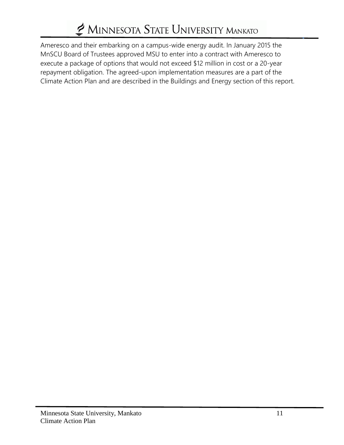Ameresco and their embarking on a campus-wide energy audit. In January 2015 the MnSCU Board of Trustees approved MSU to enter into a contract with Ameresco to execute a package of options that would not exceed \$12 million in cost or a 20-year repayment obligation. The agreed-upon implementation measures are a part of the Climate Action Plan and are described in the Buildings and Energy section of this report.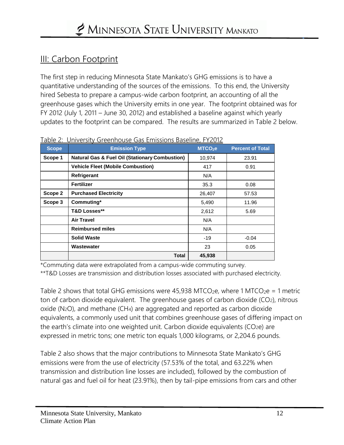### III: Carbon Footprint

The first step in reducing Minnesota State Mankato's GHG emissions is to have a quantitative understanding of the sources of the emissions. To this end, the University hired Sebesta to prepare a campus-wide carbon footprint, an accounting of all the greenhouse gases which the University emits in one year. The footprint obtained was for FY 2012 (July 1, 2011 – June 30, 2012) and established a baseline against which yearly updates to the footprint can be compared. The results are summarized in Table 2 below.

| <b>Scope</b> | <b>Emission Type</b>                                      | MTCO <sub>2</sub> e | <b>Percent of Total</b> |
|--------------|-----------------------------------------------------------|---------------------|-------------------------|
| Scope 1      | <b>Natural Gas &amp; Fuel Oil (Stationary Combustion)</b> | 10,974              | 23.91                   |
|              | <b>Vehicle Fleet (Mobile Combustion)</b>                  | 417                 | 0.91                    |
|              | Refrigerant                                               | N/A                 |                         |
|              | Fertilizer                                                | 35.3                | 0.08                    |
| Scope 2      | <b>Purchased Electricity</b>                              | 26,407              | 57.53                   |
| Scope 3      | Commuting*                                                | 5,490               | 11.96                   |
|              | <b>T&amp;D Losses**</b>                                   | 2,612               | 5.69                    |
|              | <b>Air Travel</b>                                         | N/A                 |                         |
|              | <b>Reimbursed miles</b>                                   | N/A                 |                         |
|              | <b>Solid Waste</b>                                        | $-19$               | $-0.04$                 |
|              | Wastewater                                                | 23                  | 0.05                    |
|              | <b>Total</b>                                              | 45,938              |                         |

Table 2: University Greenhouse Gas Emissions Baseline, FY2012

\*Commuting data were extrapolated from a campus-wide commuting survey.

\*\*T&D Losses are transmission and distribution losses associated with purchased electricity.

Table 2 shows that total GHG emissions were 45,938 MTCO<sub>2</sub>e, where 1 MTCO<sub>2</sub>e = 1 metric ton of carbon dioxide equivalent. The greenhouse gases of carbon dioxide (CO2), nitrous oxide (N2O), and methane (CH4) are aggregated and reported as carbon dioxide equivalents, a commonly used unit that combines greenhouse gases of differing impact on the earth's climate into one weighted unit. Carbon dioxide equivalents (CO2e) are expressed in metric tons; one metric ton equals 1,000 kilograms, or 2,204.6 pounds.

Table 2 also shows that the major contributions to Minnesota State Mankato's GHG emissions were from the use of electricity (57.53% of the total, and 63.22% when transmission and distribution line losses are included), followed by the combustion of natural gas and fuel oil for heat (23.91%), then by tail-pipe emissions from cars and other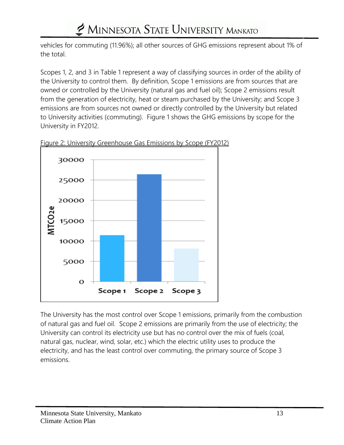vehicles for commuting (11.96%); all other sources of GHG emissions represent about 1% of the total.

Scopes 1, 2, and 3 in Table 1 represent a way of classifying sources in order of the ability of the University to control them. By definition, Scope 1 emissions are from sources that are owned or controlled by the University (natural gas and fuel oil); Scope 2 emissions result from the generation of electricity, heat or steam purchased by the University; and Scope 3 emissions are from sources not owned or directly controlled by the University but related to University activities (commuting). Figure 1 shows the GHG emissions by scope for the University in FY2012.



Figure 2: University Greenhouse Gas Emissions by Scope (FY2012)

The University has the most control over Scope 1 emissions, primarily from the combustion of natural gas and fuel oil. Scope 2 emissions are primarily from the use of electricity; the University can control its electricity use but has no control over the mix of fuels (coal, natural gas, nuclear, wind, solar, etc.) which the electric utility uses to produce the electricity, and has the least control over commuting, the primary source of Scope 3 emissions.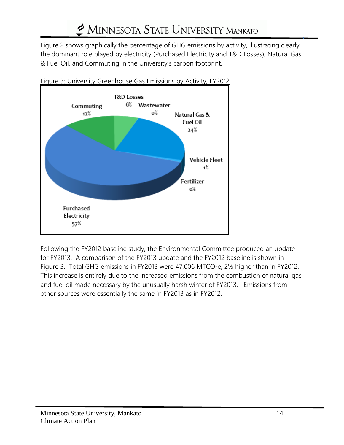Figure 2 shows graphically the percentage of GHG emissions by activity, illustrating clearly the dominant role played by electricity (Purchased Electricity and T&D Losses), Natural Gas & Fuel Oil, and Commuting in the University's carbon footprint.



Figure 3: University Greenhouse Gas Emissions by Activity, FY2012

Following the FY2012 baseline study, the Environmental Committee produced an update for FY2013. A comparison of the FY2013 update and the FY2012 baseline is shown in Figure 3. Total GHG emissions in FY2013 were 47,006 MTCO<sub>2</sub>e, 2% higher than in FY2012. This increase is entirely due to the increased emissions from the combustion of natural gas and fuel oil made necessary by the unusually harsh winter of FY2013. Emissions from other sources were essentially the same in FY2013 as in FY2012.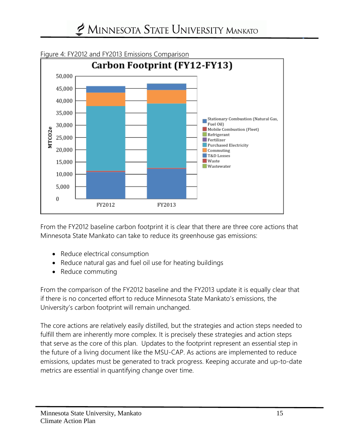

#### Figure 4: FY2012 and FY2013 Emissions Comparison

From the FY2012 baseline carbon footprint it is clear that there are three core actions that Minnesota State Mankato can take to reduce its greenhouse gas emissions:

- Reduce electrical consumption
- Reduce natural gas and fuel oil use for heating buildings
- Reduce commuting

From the comparison of the FY2012 baseline and the FY2013 update it is equally clear that if there is no concerted effort to reduce Minnesota State Mankato's emissions, the University's carbon footprint will remain unchanged.

The core actions are relatively easily distilled, but the strategies and action steps needed to fulfill them are inherently more complex. It is precisely these strategies and action steps that serve as the core of this plan. Updates to the footprint represent an essential step in the future of a living document like the MSU-CAP. As actions are implemented to reduce emissions, updates must be generated to track progress. Keeping accurate and up-to-date metrics are essential in quantifying change over time.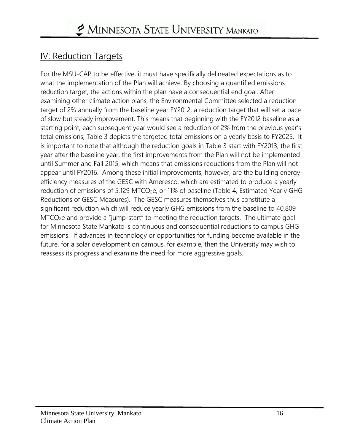### IV: Reduction Targets

For the MSU-CAP to be effective, it must have specifically delineated expectations as to what the implementation of the Plan will achieve. By choosing a quantified emissions reduction target, the actions within the plan have a consequential end goal. After examining other climate action plans, the Environmental Committee selected a reduction target of 2% annually from the baseline year FY2012, a reduction target that will set a pace of slow but steady improvement. This means that beginning with the FY2012 baseline as a starting point, each subsequent year would see a reduction of 2% from the previous year's total emissions; Table 3 depicts the targeted total emissions on a yearly basis to FY2025. It is important to note that although the reduction goals in Table 3 start with FY2013, the first year after the baseline year, the first improvements from the Plan will not be implemented until Summer and Fall 2015, which means that emissions reductions from the Plan will not appear until FY2016. Among these initial improvements, however, are the building energyefficiency measures of the GESC with Ameresco, which are estimated to produce a yearly reduction of emissions of 5,129 MTCO<sub>2</sub>e, or 11% of baseline (Table 4, Estimated Yearly GHG Reductions of GESC Measures). The GESC measures themselves thus constitute a significant reduction which will reduce yearly GHG emissions from the baseline to 40,809 MTCO2e and provide a "jump-start" to meeting the reduction targets. The ultimate goal for Minnesota State Mankato is continuous and consequential reductions to campus GHG emissions. If advances in technology or opportunities for funding become available in the future, for a solar development on campus, for example, then the University may wish to reassess its progress and examine the need for more aggressive goals.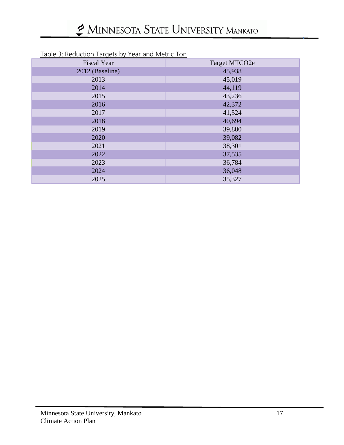| <u>Table 5. Reduction Targets by Teal and Metric Ton</u> |               |  |  |  |
|----------------------------------------------------------|---------------|--|--|--|
| <b>Fiscal Year</b>                                       | Target MTCO2e |  |  |  |
| 2012 (Baseline)                                          | 45,938        |  |  |  |
| 2013                                                     | 45,019        |  |  |  |
| 2014                                                     | 44,119        |  |  |  |
| 2015                                                     | 43,236        |  |  |  |
| 2016                                                     | 42,372        |  |  |  |
| 2017                                                     | 41,524        |  |  |  |
| 2018                                                     | 40,694        |  |  |  |
| 2019                                                     | 39,880        |  |  |  |
| 2020                                                     | 39,082        |  |  |  |
| 2021                                                     | 38,301        |  |  |  |
| 2022                                                     | 37,535        |  |  |  |
| 2023                                                     | 36,784        |  |  |  |
| 2024                                                     | 36,048        |  |  |  |
| 2025                                                     | 35,327        |  |  |  |

#### Table 3: Reduction Targets by Year and Metric Ton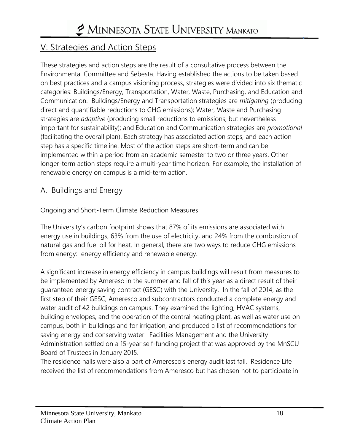### V: Strategies and Action Steps

These strategies and action steps are the result of a consultative process between the Environmental Committee and Sebesta. Having established the actions to be taken based on best practices and a campus visioning process, strategies were divided into six thematic categories: Buildings/Energy, Transportation, Water, Waste, Purchasing, and Education and Communication. Buildings/Energy and Transportation strategies are *mitigating* (producing direct and quantifiable reductions to GHG emissions); Water, Waste and Purchasing strategies are *adaptive* (producing small reductions to emissions, but nevertheless important for sustainability); and Education and Communication strategies are *promotional* (facilitating the overall plan). Each strategy has associated action steps, and each action step has a specific timeline. Most of the action steps are short-term and can be implemented within a period from an academic semester to two or three years. Other longer-term action steps require a multi-year time horizon. For example, the installation of renewable energy on campus is a mid-term action.

#### A. Buildings and Energy

Ongoing and Short-Term Climate Reduction Measures

The University's carbon footprint shows that 87% of its emissions are associated with energy use in buildings, 63% from the use of electricity, and 24% from the combustion of natural gas and fuel oil for heat. In general, there are two ways to reduce GHG emissions from energy: energy efficiency and renewable energy.

A significant increase in energy efficiency in campus buildings will result from measures to be implemented by Amereso in the summer and fall of this year as a direct result of their guaranteed energy saving contract (GESC) with the University. In the fall of 2014, as the first step of their GESC, Ameresco and subcontractors conducted a complete energy and water audit of 42 buildings on campus. They examined the lighting, HVAC systems, building envelopes, and the operation of the central heating plant, as well as water use on campus, both in buildings and for irrigation, and produced a list of recommendations for saving energy and conserving water. Facilities Management and the University Administration settled on a 15-year self-funding project that was approved by the MnSCU Board of Trustees in January 2015.

The residence halls were also a part of Ameresco's energy audit last fall. Residence Life received the list of recommendations from Ameresco but has chosen not to participate in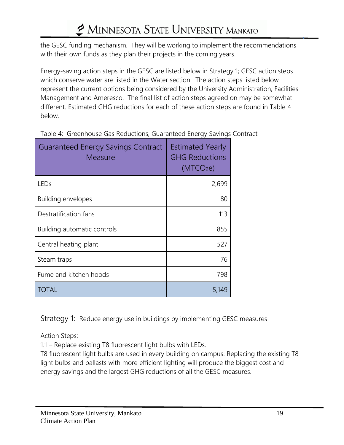the GESC funding mechanism. They will be working to implement the recommendations with their own funds as they plan their projects in the coming years.

Energy-saving action steps in the GESC are listed below in Strategy 1; GESC action steps which conserve water are listed in the Water section. The action steps listed below represent the current options being considered by the University Administration, Facilities Management and Ameresco. The final list of action steps agreed on may be somewhat different. Estimated GHG reductions for each of these action steps are found in Table 4 below.

| <b>Guaranteed Energy Savings Contract</b><br>Measure | <b>Estimated Yearly</b><br><b>GHG Reductions</b><br>(MTCO <sub>2</sub> e) |
|------------------------------------------------------|---------------------------------------------------------------------------|
| LEDs                                                 | 2,699                                                                     |
| <b>Building envelopes</b>                            | 80                                                                        |
| Destratification fans                                | 113                                                                       |
| Building automatic controls                          | 855                                                                       |
| Central heating plant                                | 527                                                                       |
| Steam traps                                          | 76                                                                        |
| Fume and kitchen hoods                               | 798                                                                       |
| TOTAL                                                | 5,149                                                                     |

Table 4: Greenhouse Gas Reductions, Guaranteed Energy Savings Contract

Strategy 1: Reduce energy use in buildings by implementing GESC measures

Action Steps:

1.1 – Replace existing T8 fluorescent light bulbs with LEDs.

T8 fluorescent light bulbs are used in every building on campus. Replacing the existing T8 light bulbs and ballasts with more efficient lighting will produce the biggest cost and energy savings and the largest GHG reductions of all the GESC measures.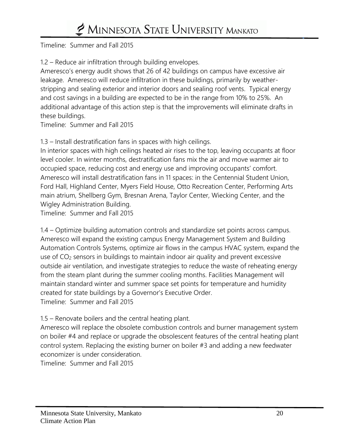Timeline: Summer and Fall 2015

1.2 – Reduce air infiltration through building envelopes.

Ameresco's energy audit shows that 26 of 42 buildings on campus have excessive air leakage. Ameresco will reduce infiltration in these buildings, primarily by weatherstripping and sealing exterior and interior doors and sealing roof vents. Typical energy and cost savings in a building are expected to be in the range from 10% to 25%. An additional advantage of this action step is that the improvements will eliminate drafts in these buildings.

Timeline: Summer and Fall 2015

1.3 – Install destratification fans in spaces with high ceilings.

In interior spaces with high ceilings heated air rises to the top, leaving occupants at floor level cooler. In winter months, destratification fans mix the air and move warmer air to occupied space, reducing cost and energy use and improving occupants' comfort. Ameresco will install destratification fans in 11 spaces: in the Centennial Student Union, Ford Hall, Highland Center, Myers Field House, Otto Recreation Center, Performing Arts main atrium, Shellberg Gym, Bresnan Arena, Taylor Center, Wiecking Center, and the Wigley Administration Building.

Timeline: Summer and Fall 2015

1.4 – Optimize building automation controls and standardize set points across campus. Ameresco will expand the existing campus Energy Management System and Building Automation Controls Systems, optimize air flows in the campus HVAC system, expand the use of CO<sup>2</sup> sensors in buildings to maintain indoor air quality and prevent excessive outside air ventilation, and investigate strategies to reduce the waste of reheating energy from the steam plant during the summer cooling months. Facilities Management will maintain standard winter and summer space set points for temperature and humidity created for state buildings by a Governor's Executive Order. Timeline: Summer and Fall 2015

#### 1.5 – Renovate boilers and the central heating plant.

Ameresco will replace the obsolete combustion controls and burner management system on boiler #4 and replace or upgrade the obsolescent features of the central heating plant control system. Replacing the existing burner on boiler #3 and adding a new feedwater economizer is under consideration.

Timeline: Summer and Fall 2015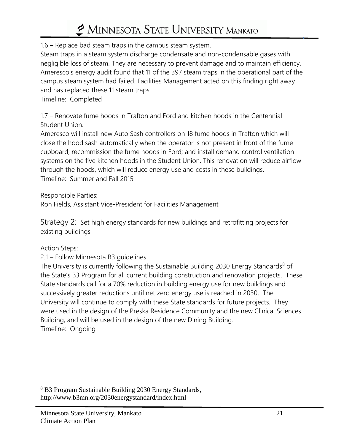1.6 – Replace bad steam traps in the campus steam system.

Steam traps in a steam system discharge condensate and non-condensable gases with negligible loss of steam. They are necessary to prevent damage and to maintain efficiency. Ameresco's energy audit found that 11 of the 397 steam traps in the operational part of the campus steam system had failed. Facilities Management acted on this finding right away and has replaced these 11 steam traps.

Timeline: Completed

1.7 – Renovate fume hoods in Trafton and Ford and kitchen hoods in the Centennial Student Union.

Ameresco will install new Auto Sash controllers on 18 fume hoods in Trafton which will close the hood sash automatically when the operator is not present in front of the fume cupboard; recommission the fume hoods in Ford; and install demand control ventilation systems on the five kitchen hoods in the Student Union. This renovation will reduce airflow through the hoods, which will reduce energy use and costs in these buildings. Timeline: Summer and Fall 2015

Responsible Parties:

Ron Fields, Assistant Vice-President for Facilities Management

Strategy 2: Set high energy standards for new buildings and retrofitting projects for existing buildings

#### Action Steps:

 $\overline{a}$ 

2.1 – Follow Minnesota B3 guidelines

The University is currently following the Sustainable Building 2030 Energy Standards<sup>8</sup> of the State's B3 Program for all current building construction and renovation projects. These State standards call for a 70% reduction in building energy use for new buildings and successively greater reductions until net zero energy use is reached in 2030. The University will continue to comply with these State standards for future projects. They were used in the design of the Preska Residence Community and the new Clinical Sciences Building, and will be used in the design of the new Dining Building. Timeline: Ongoing

<sup>8</sup> B3 Program Sustainable Building 2030 Energy Standards, http://www.b3mn.org/2030energystandard/index.html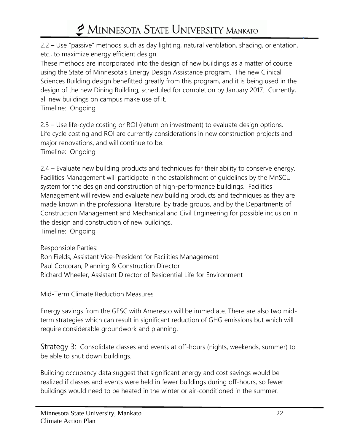2.2 – Use "passive" methods such as day lighting, natural ventilation, shading, orientation, etc., to maximize energy efficient design.

These methods are incorporated into the design of new buildings as a matter of course using the State of Minnesota's Energy Design Assistance program. The new Clinical Sciences Building design benefitted greatly from this program, and it is being used in the design of the new Dining Building, scheduled for completion by January 2017. Currently, all new buildings on campus make use of it.

Timeline: Ongoing

2.3 – Use life-cycle costing or ROI (return on investment) to evaluate design options. Life cycle costing and ROI are currently considerations in new construction projects and major renovations, and will continue to be.

Timeline: Ongoing

2.4 – Evaluate new building products and techniques for their ability to conserve energy. Facilities Management will participate in the establishment of guidelines by the MnSCU system for the design and construction of high-performance buildings. Facilities Management will review and evaluate new building products and techniques as they are made known in the professional literature, by trade groups, and by the Departments of Construction Management and Mechanical and Civil Engineering for possible inclusion in the design and construction of new buildings. Timeline: Ongoing

Responsible Parties: Ron Fields, Assistant Vice-President for Facilities Management Paul Corcoran, Planning & Construction Director Richard Wheeler, Assistant Director of Residential Life for Environment

Mid-Term Climate Reduction Measures

Energy savings from the GESC with Ameresco will be immediate. There are also two midterm strategies which can result in significant reduction of GHG emissions but which will require considerable groundwork and planning.

Strategy 3: Consolidate classes and events at off-hours (nights, weekends, summer) to be able to shut down buildings.

Building occupancy data suggest that significant energy and cost savings would be realized if classes and events were held in fewer buildings during off-hours, so fewer buildings would need to be heated in the winter or air-conditioned in the summer.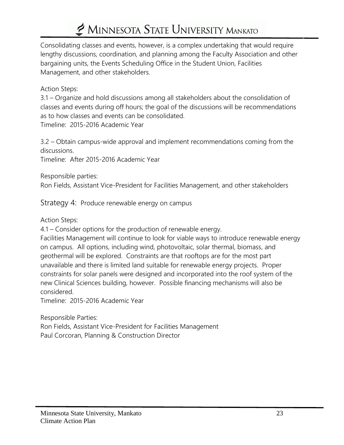Consolidating classes and events, however, is a complex undertaking that would require lengthy discussions, coordination, and planning among the Faculty Association and other bargaining units, the Events Scheduling Office in the Student Union, Facilities Management, and other stakeholders.

#### Action Steps:

3.1 – Organize and hold discussions among all stakeholders about the consolidation of classes and events during off hours; the goal of the discussions will be recommendations as to how classes and events can be consolidated.

Timeline: 2015-2016 Academic Year

3.2 – Obtain campus-wide approval and implement recommendations coming from the discussions.

Timeline: After 2015-2016 Academic Year

Responsible parties:

Ron Fields, Assistant Vice-President for Facilities Management, and other stakeholders

Strategy 4: Produce renewable energy on campus

Action Steps:

4.1 – Consider options for the production of renewable energy.

Facilities Management will continue to look for viable ways to introduce renewable energy on campus. All options, including wind, photovoltaic, solar thermal, biomass, and geothermal will be explored. Constraints are that rooftops are for the most part unavailable and there is limited land suitable for renewable energy projects. Proper constraints for solar panels were designed and incorporated into the roof system of the new Clinical Sciences building, however. Possible financing mechanisms will also be considered.

Timeline: 2015-2016 Academic Year

Responsible Parties: Ron Fields, Assistant Vice-President for Facilities Management Paul Corcoran, Planning & Construction Director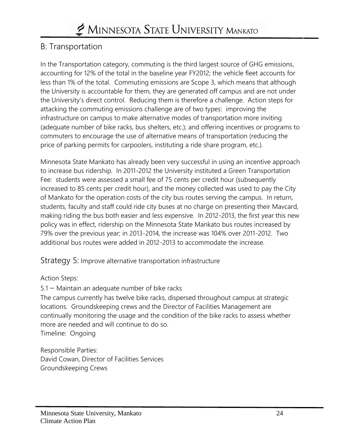### B: Transportation

In the Transportation category, commuting is the third largest source of GHG emissions, accounting for 12% of the total in the baseline year FY2012; the vehicle fleet accounts for less than 1% of the total. Commuting emissions are Scope 3, which means that although the University is accountable for them, they are generated off campus and are not under the University's direct control. Reducing them is therefore a challenge. Action steps for attacking the commuting emissions challenge are of two types: improving the infrastructure on campus to make alternative modes of transportation more inviting (adequate number of bike racks, bus shelters, etc.); and offering incentives or programs to commuters to encourage the use of alternative means of transportation (reducing the price of parking permits for carpoolers, instituting a ride share program, etc.).

Minnesota State Mankato has already been very successful in using an incentive approach to increase bus ridership. In 2011-2012 the University instituted a Green Transportation Fee: students were assessed a small fee of 75 cents per credit hour (subsequently increased to 85 cents per credit hour), and the money collected was used to pay the City of Mankato for the operation costs of the city bus routes serving the campus. In return, students, faculty and staff could ride city buses at no charge on presenting their Mavcard, making riding the bus both easier and less expensive. In 2012-2013, the first year this new policy was in effect, ridership on the Minnesota State Mankato bus routes increased by 79% over the previous year; in 2013-2014, the increase was 104% over 2011-2012. Two additional bus routes were added in 2012-2013 to accommodate the increase.

Strategy 5: Improve alternative transportation infrastructure

#### Action Steps:

5.1 – Maintain an adequate number of bike racks The campus currently has twelve bike racks, dispersed throughout campus at strategic locations. Groundskeeping crews and the Director of Facilities Management are continually monitoring the usage and the condition of the bike racks to assess whether more are needed and will continue to do so. Timeline: Ongoing

Responsible Parties: David Cowan, Director of Facilities Services Groundskeeping Crews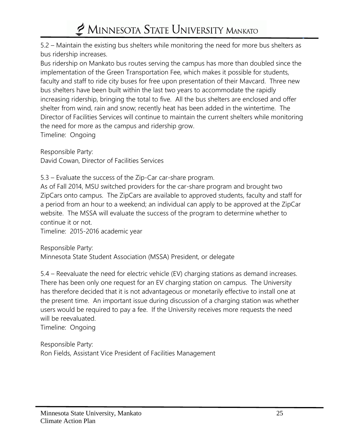5.2 – Maintain the existing bus shelters while monitoring the need for more bus shelters as bus ridership increases.

Bus ridership on Mankato bus routes serving the campus has more than doubled since the implementation of the Green Transportation Fee, which makes it possible for students, faculty and staff to ride city buses for free upon presentation of their Mavcard. Three new bus shelters have been built within the last two years to accommodate the rapidly increasing ridership, bringing the total to five. All the bus shelters are enclosed and offer shelter from wind, rain and snow; recently heat has been added in the wintertime. The Director of Facilities Services will continue to maintain the current shelters while monitoring the need for more as the campus and ridership grow. Timeline: Ongoing

Responsible Party: David Cowan, Director of Facilities Services

5.3 – Evaluate the success of the Zip-Car car-share program.

As of Fall 2014, MSU switched providers for the car-share program and brought two ZipCars onto campus. The ZipCars are available to approved students, faculty and staff for a period from an hour to a weekend; an individual can apply to be approved at the ZipCar website. The MSSA will evaluate the success of the program to determine whether to continue it or not.

Timeline: 2015-2016 academic year

Responsible Party: Minnesota State Student Association (MSSA) President, or delegate

5.4 – Reevaluate the need for electric vehicle (EV) charging stations as demand increases. There has been only one request for an EV charging station on campus. The University has therefore decided that it is not advantageous or monetarily effective to install one at the present time. An important issue during discussion of a charging station was whether users would be required to pay a fee. If the University receives more requests the need will be reevaluated.

Timeline: Ongoing

Responsible Party: Ron Fields, Assistant Vice President of Facilities Management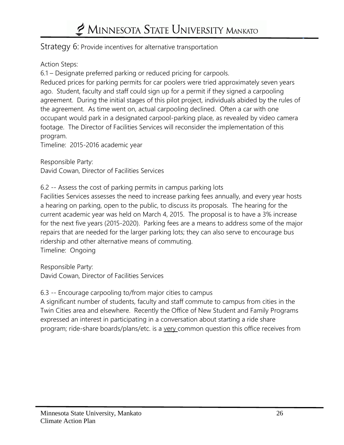#### Strategy 6: Provide incentives for alternative transportation

#### Action Steps:

6.1 – Designate preferred parking or reduced pricing for carpools.

Reduced prices for parking permits for car poolers were tried approximately seven years ago. Student, faculty and staff could sign up for a permit if they signed a carpooling agreement. During the initial stages of this pilot project, individuals abided by the rules of the agreement. As time went on, actual carpooling declined. Often a car with one occupant would park in a designated carpool-parking place, as revealed by video camera footage. The Director of Facilities Services will reconsider the implementation of this program.

Timeline: 2015-2016 academic year

Responsible Party: David Cowan, Director of Facilities Services

#### 6.2 -- Assess the cost of parking permits in campus parking lots

Facilities Services assesses the need to increase parking fees annually, and every year hosts a hearing on parking, open to the public, to discuss its proposals. The hearing for the current academic year was held on March 4, 2015. The proposal is to have a 3% increase for the next five years (2015-2020). Parking fees are a means to address some of the major repairs that are needed for the larger parking lots; they can also serve to encourage bus ridership and other alternative means of commuting. Timeline: Ongoing

Responsible Party: David Cowan, Director of Facilities Services

#### 6.3 -- Encourage carpooling to/from major cities to campus

A significant number of students, faculty and staff commute to campus from cities in the Twin Cities area and elsewhere. Recently the Office of New Student and Family Programs expressed an interest in participating in a conversation about starting a ride share program; ride-share boards/plans/etc. is a very common question this office receives from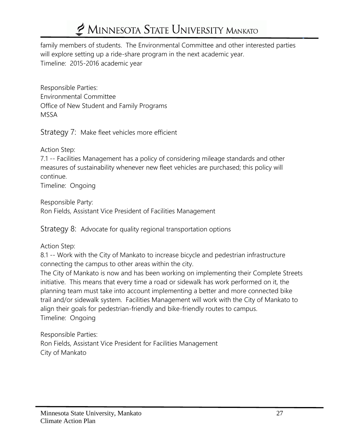family members of students. The Environmental Committee and other interested parties will explore setting up a ride-share program in the next academic year. Timeline: 2015-2016 academic year

Responsible Parties: Environmental Committee Office of New Student and Family Programs MSSA

Strategy 7: Make fleet vehicles more efficient

Action Step:

7.1 -- Facilities Management has a policy of considering mileage standards and other measures of sustainability whenever new fleet vehicles are purchased; this policy will continue.

Timeline: Ongoing

Responsible Party: Ron Fields, Assistant Vice President of Facilities Management

Strategy 8: Advocate for quality regional transportation options

Action Step:

8.1 -- Work with the City of Mankato to increase bicycle and pedestrian infrastructure connecting the campus to other areas within the city.

The City of Mankato is now and has been working on implementing their Complete Streets initiative. This means that every time a road or sidewalk has work performed on it, the planning team must take into account implementing a better and more connected bike trail and/or sidewalk system. Facilities Management will work with the City of Mankato to align their goals for pedestrian-friendly and bike-friendly routes to campus. Timeline: Ongoing

Responsible Parties: Ron Fields, Assistant Vice President for Facilities Management City of Mankato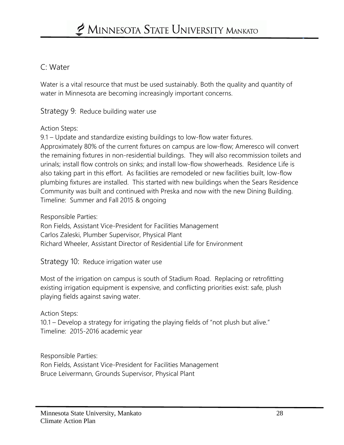#### C: Water

Water is a vital resource that must be used sustainably. Both the quality and quantity of water in Minnesota are becoming increasingly important concerns.

Strategy 9: Reduce building water use

#### Action Steps:

9.1 – Update and standardize existing buildings to low-flow water fixtures. Approximately 80% of the current fixtures on campus are low-flow; Ameresco will convert the remaining fixtures in non-residential buildings. They will also recommission toilets and urinals; install flow controls on sinks; and install low-flow showerheads. Residence Life is also taking part in this effort. As facilities are remodeled or new facilities built, low-flow plumbing fixtures are installed. This started with new buildings when the Sears Residence Community was built and continued with Preska and now with the new Dining Building. Timeline: Summer and Fall 2015 & ongoing

Responsible Parties:

Ron Fields, Assistant Vice-President for Facilities Management Carlos Zaleski, Plumber Supervisor, Physical Plant Richard Wheeler, Assistant Director of Residential Life for Environment

Strategy 10: Reduce irrigation water use

Most of the irrigation on campus is south of Stadium Road. Replacing or retrofitting existing irrigation equipment is expensive, and conflicting priorities exist: safe, plush playing fields against saving water.

Action Steps:

10.1 – Develop a strategy for irrigating the playing fields of "not plush but alive." Timeline: 2015-2016 academic year

Responsible Parties: Ron Fields, Assistant Vice-President for Facilities Management Bruce Leivermann, Grounds Supervisor, Physical Plant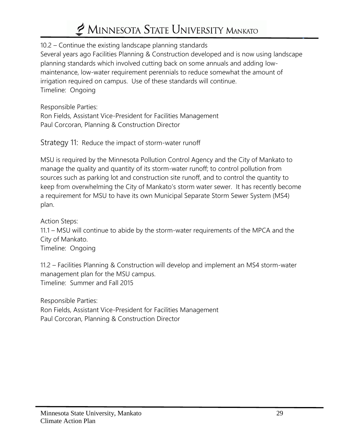10.2 – Continue the existing landscape planning standards Several years ago Facilities Planning & Construction developed and is now using landscape planning standards which involved cutting back on some annuals and adding lowmaintenance, low-water requirement perennials to reduce somewhat the amount of irrigation required on campus. Use of these standards will continue. Timeline: Ongoing

Responsible Parties: Ron Fields, Assistant Vice-President for Facilities Management Paul Corcoran, Planning & Construction Director

Strategy 11: Reduce the impact of storm-water runoff

MSU is required by the Minnesota Pollution Control Agency and the City of Mankato to manage the quality and quantity of its storm-water runoff; to control pollution from sources such as parking lot and construction site runoff, and to control the quantity to keep from overwhelming the City of Mankato's storm water sewer. It has recently become a requirement for MSU to have its own Municipal Separate Storm Sewer System (MS4) plan.

Action Steps:

11.1 – MSU will continue to abide by the storm-water requirements of the MPCA and the City of Mankato.

Timeline: Ongoing

11.2 – Facilities Planning & Construction will develop and implement an MS4 storm-water management plan for the MSU campus. Timeline: Summer and Fall 2015

Responsible Parties:

Ron Fields, Assistant Vice-President for Facilities Management Paul Corcoran, Planning & Construction Director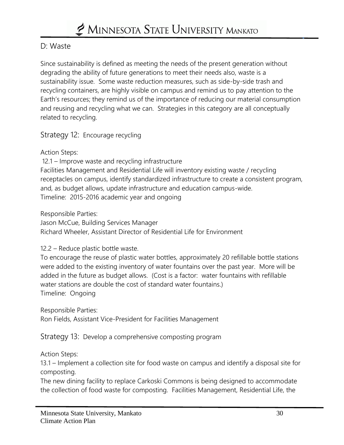#### D: Waste

Since sustainability is defined as meeting the needs of the present generation without degrading the ability of future generations to meet their needs also, waste is a sustainability issue. Some waste reduction measures, such as side-by-side trash and recycling containers, are highly visible on campus and remind us to pay attention to the Earth's resources; they remind us of the importance of reducing our material consumption and reusing and recycling what we can. Strategies in this category are all conceptually related to recycling.

Strategy 12: Encourage recycling

Action Steps:

12.1 – Improve waste and recycling infrastructure

Facilities Management and Residential Life will inventory existing waste / recycling receptacles on campus, identify standardized infrastructure to create a consistent program, and, as budget allows, update infrastructure and education campus-wide. Timeline: 2015-2016 academic year and ongoing

Responsible Parties:

Jason McCue, Building Services Manager Richard Wheeler, Assistant Director of Residential Life for Environment

12.2 – Reduce plastic bottle waste.

To encourage the reuse of plastic water bottles, approximately 20 refillable bottle stations were added to the existing inventory of water fountains over the past year. More will be added in the future as budget allows. (Cost is a factor: water fountains with refillable water stations are double the cost of standard water fountains.) Timeline: Ongoing

Responsible Parties:

Ron Fields, Assistant Vice-President for Facilities Management

Strategy 13: Develop a comprehensive composting program

Action Steps:

13.1 – Implement a collection site for food waste on campus and identify a disposal site for composting.

The new dining facility to replace Carkoski Commons is being designed to accommodate the collection of food waste for composting. Facilities Management, Residential Life, the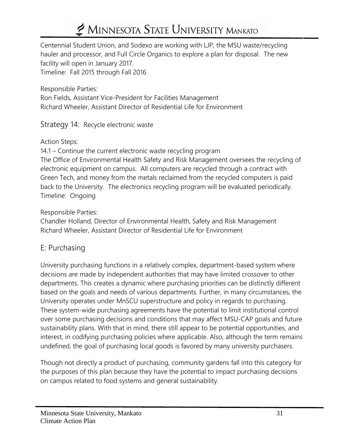Centennial Student Union, and Sodexo are working with LJP, the MSU waste/recycling hauler and processor, and Full Circle Organics to explore a plan for disposal. The new facility will open in January 2017.

Timeline: Fall 2015 through Fall 2016

Responsible Parties: Ron Fields, Assistant Vice-President for Facilities Management Richard Wheeler, Assistant Director of Residential Life for Environment

#### Strategy 14: Recycle electronic waste

Action Steps:

14.1 – Continue the current electronic waste recycling program The Office of Environmental Health Safety and Risk Management oversees the recycling of electronic equipment on campus. All computers are recycled through a contract with Green Tech, and money from the metals reclaimed from the recycled computers is paid back to the University. The electronics recycling program will be evaluated periodically. Timeline: Ongoing

#### Responsible Parties:

Chandler Holland, Director of Environmental Health, Safety and Risk Management Richard Wheeler, Assistant Director of Residential Life for Environment

#### E: Purchasing

University purchasing functions in a relatively complex, department-based system where decisions are made by independent authorities that may have limited crossover to other departments. This creates a dynamic where purchasing priorities can be distinctly different based on the goals and needs of various departments. Further, in many circumstances, the University operates under MnSCU superstructure and policy in regards to purchasing. These system-wide purchasing agreements have the potential to limit institutional control over some purchasing decisions and conditions that may affect MSU-CAP goals and future sustainability plans. With that in mind, there still appear to be potential opportunities, and interest, in codifying purchasing policies where applicable. Also, although the term remains undefined, the goal of purchasing local goods is favored by many university purchasers.

Though not directly a product of purchasing, community gardens fall into this category for the purposes of this plan because they have the potential to impact purchasing decisions on campus related to food systems and general sustainability.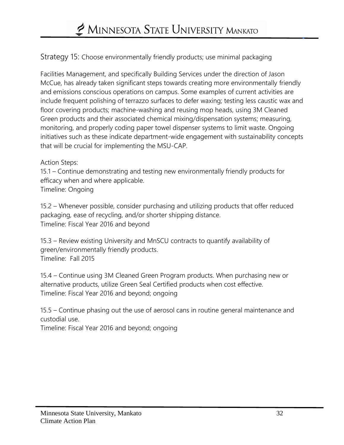Strategy 15: Choose environmentally friendly products; use minimal packaging

Facilities Management, and specifically Building Services under the direction of Jason McCue, has already taken significant steps towards creating more environmentally friendly and emissions conscious operations on campus. Some examples of current activities are include frequent polishing of terrazzo surfaces to defer waxing; testing less caustic wax and floor covering products; machine-washing and reusing mop heads, using 3M Cleaned Green products and their associated chemical mixing/dispensation systems; measuring, monitoring, and properly coding paper towel dispenser systems to limit waste. Ongoing initiatives such as these indicate department-wide engagement with sustainability concepts that will be crucial for implementing the MSU-CAP.

#### Action Steps:

15.1 – Continue demonstrating and testing new environmentally friendly products for efficacy when and where applicable. Timeline: Ongoing

15.2 – Whenever possible, consider purchasing and utilizing products that offer reduced packaging, ease of recycling, and/or shorter shipping distance. Timeline: Fiscal Year 2016 and beyond

15.3 – Review existing University and MnSCU contracts to quantify availability of green/environmentally friendly products. Timeline: Fall 2015

15.4 – Continue using 3M Cleaned Green Program products. When purchasing new or alternative products, utilize Green Seal Certified products when cost effective. Timeline: Fiscal Year 2016 and beyond; ongoing

15.5 – Continue phasing out the use of aerosol cans in routine general maintenance and custodial use.

Timeline: Fiscal Year 2016 and beyond; ongoing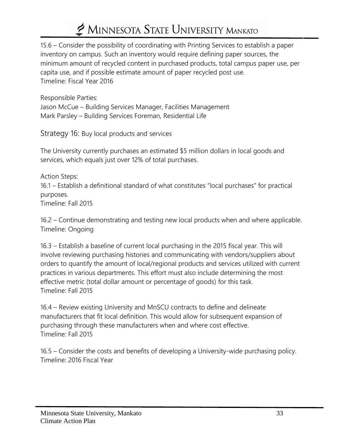15.6 – Consider the possibility of coordinating with Printing Services to establish a paper inventory on campus. Such an inventory would require defining paper sources, the minimum amount of recycled content in purchased products, total campus paper use, per capita use, and if possible estimate amount of paper recycled post use. Timeline: Fiscal Year 2016

Responsible Parties: Jason McCue – Building Services Manager, Facilities Management Mark Parsley – Building Services Foreman, Residential Life

Strategy 16: Buy local products and services

The University currently purchases an estimated \$5 million dollars in local goods and services, which equals just over 12% of total purchases.

Action Steps: 16.1 – Establish a definitional standard of what constitutes "local purchases" for practical purposes. Timeline: Fall 2015

16.2 – Continue demonstrating and testing new local products when and where applicable. Timeline: Ongoing

16.3 – Establish a baseline of current local purchasing in the 2015 fiscal year. This will involve reviewing purchasing histories and communicating with vendors/suppliers about orders to quantify the amount of local/regional products and services utilized with current practices in various departments. This effort must also include determining the most effective metric (total dollar amount or percentage of goods) for this task. Timeline: Fall 2015

16.4 – Review existing University and MnSCU contracts to define and delineate manufacturers that fit local definition. This would allow for subsequent expansion of purchasing through these manufacturers when and where cost effective. Timeline: Fall 2015

16.5 – Consider the costs and benefits of developing a University-wide purchasing policy. Timeline: 2016 Fiscal Year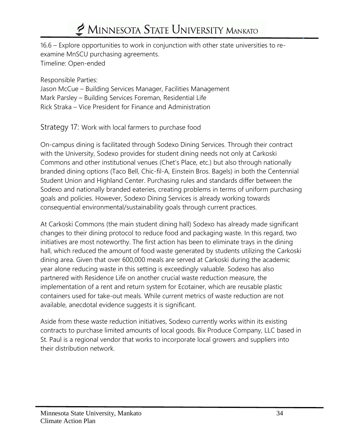16.6 – Explore opportunities to work in conjunction with other state universities to reexamine MnSCU purchasing agreements. Timeline: Open-ended

Responsible Parties:

Jason McCue – Building Services Manager, Facilities Management Mark Parsley – Building Services Foreman, Residential Life Rick Straka – Vice President for Finance and Administration

Strategy 17: Work with local farmers to purchase food

On-campus dining is facilitated through Sodexo Dining Services. Through their contract with the University, Sodexo provides for student dining needs not only at Carkoski Commons and other institutional venues (Chet's Place, etc.) but also through nationally branded dining options (Taco Bell, Chic-fil-A, Einstein Bros. Bagels) in both the Centennial Student Union and Highland Center. Purchasing rules and standards differ between the Sodexo and nationally branded eateries, creating problems in terms of uniform purchasing goals and policies. However, Sodexo Dining Services is already working towards consequential environmental/sustainability goals through current practices.

At Carkoski Commons (the main student dining hall) Sodexo has already made significant changes to their dining protocol to reduce food and packaging waste. In this regard, two initiatives are most noteworthy. The first action has been to eliminate trays in the dining hall, which reduced the amount of food waste generated by students utilizing the Carkoski dining area. Given that over 600,000 meals are served at Carkoski during the academic year alone reducing waste in this setting is exceedingly valuable. Sodexo has also partnered with Residence Life on another crucial waste reduction measure, the implementation of a rent and return system for Ecotainer, which are reusable plastic containers used for take-out meals. While current metrics of waste reduction are not available, anecdotal evidence suggests it is significant.

Aside from these waste reduction initiatives, Sodexo currently works within its existing contracts to purchase limited amounts of local goods. Bix Produce Company, LLC based in St. Paul is a regional vendor that works to incorporate local growers and suppliers into their distribution network.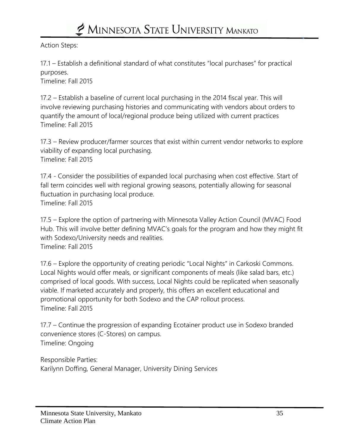Action Steps:

17.1 – Establish a definitional standard of what constitutes "local purchases" for practical purposes.

Timeline: Fall 2015

17.2 – Establish a baseline of current local purchasing in the 2014 fiscal year. This will involve reviewing purchasing histories and communicating with vendors about orders to quantify the amount of local/regional produce being utilized with current practices Timeline: Fall 2015

17.3 – Review producer/farmer sources that exist within current vendor networks to explore viability of expanding local purchasing. Timeline: Fall 2015

17.4 - Consider the possibilities of expanded local purchasing when cost effective. Start of fall term coincides well with regional growing seasons, potentially allowing for seasonal fluctuation in purchasing local produce. Timeline: Fall 2015

17.5 – Explore the option of partnering with Minnesota Valley Action Council (MVAC) Food Hub. This will involve better defining MVAC's goals for the program and how they might fit with Sodexo/University needs and realities. Timeline: Fall 2015

17.6 – Explore the opportunity of creating periodic "Local Nights" in Carkoski Commons. Local Nights would offer meals, or significant components of meals (like salad bars, etc.) comprised of local goods. With success, Local Nights could be replicated when seasonally viable. If marketed accurately and properly, this offers an excellent educational and promotional opportunity for both Sodexo and the CAP rollout process. Timeline: Fall 2015

17.7 – Continue the progression of expanding Ecotainer product use in Sodexo branded convenience stores (C-Stores) on campus. Timeline: Ongoing

Responsible Parties: Karilynn Doffing, General Manager, University Dining Services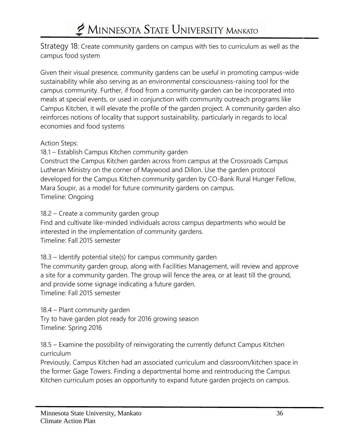Strategy 18: Create community gardens on campus with ties to curriculum as well as the campus food system

Given their visual presence, community gardens can be useful in promoting campus-wide sustainability while also serving as an environmental consciousness-raising tool for the campus community. Further, if food from a community garden can be incorporated into meals at special events, or used in conjunction with community outreach programs like Campus Kitchen, it will elevate the profile of the garden project. A community garden also reinforces notions of locality that support sustainability, particularly in regards to local economies and food systems

Action Steps:

18.1 – Establish Campus Kitchen community garden

Construct the Campus Kitchen garden across from campus at the Crossroads Campus Lutheran Ministry on the corner of Maywood and Dillon. Use the garden protocol developed for the Campus Kitchen community garden by CO-Bank Rural Hunger Fellow, Mara Soupir, as a model for future community gardens on campus. Timeline: Ongoing

18.2 – Create a community garden group

Find and cultivate like-minded individuals across campus departments who would be interested in the implementation of community gardens. Timeline: Fall 2015 semester

18.3 – Identify potential site(s) for campus community garden

The community garden group, along with Facilities Management, will review and approve a site for a community garden. The group will fence the area, or at least till the ground, and provide some signage indicating a future garden. Timeline: Fall 2015 semester

18.4 – Plant community garden

Try to have garden plot ready for 2016 growing season Timeline: Spring 2016

18.5 – Examine the possibility of reinvigorating the currently defunct Campus Kitchen curriculum

Previously, Campus Kitchen had an associated curriculum and classroom/kitchen space in the former Gage Towers. Finding a departmental home and reintroducing the Campus Kitchen curriculum poses an opportunity to expand future garden projects on campus.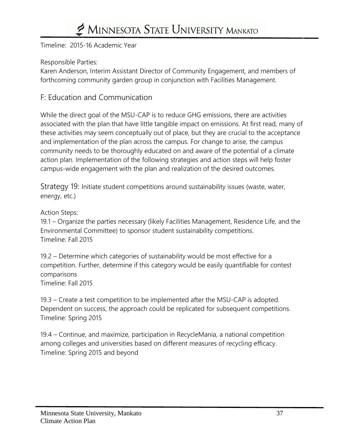Timeline: 2015-16 Academic Year

Responsible Parties:

Karen Anderson, Interim Assistant Director of Community Engagement, and members of forthcoming community garden group in conjunction with Facilities Management.

#### F: Education and Communication

While the direct goal of the MSU-CAP is to reduce GHG emissions, there are activities associated with the plan that have little tangible impact on emissions. At first read, many of these activities may seem conceptually out of place, but they are crucial to the acceptance and implementation of the plan across the campus. For change to arise, the campus community needs to be thoroughly educated on and aware of the potential of a climate action plan. Implementation of the following strategies and action steps will help foster campus-wide engagement with the plan and realization of the desired outcomes.

Strategy 19: Initiate student competitions around sustainability issues (waste, water, energy, etc.)

Action Steps:

19.1 – Organize the parties necessary (likely Facilities Management, Residence Life, and the Environmental Committee) to sponsor student sustainability competitions. Timeline: Fall 2015

19.2 – Determine which categories of sustainability would be most effective for a competition. Further, determine if this category would be easily quantifiable for contest comparisons Timeline: Fall 2015

19.3 – Create a test competition to be implemented after the MSU-CAP is adopted. Dependent on success, the approach could be replicated for subsequent competitions. Timeline: Spring 2015

19.4 – Continue, and maximize, participation in RecycleMania, a national competition among colleges and universities based on different measures of recycling efficacy. Timeline: Spring 2015 and beyond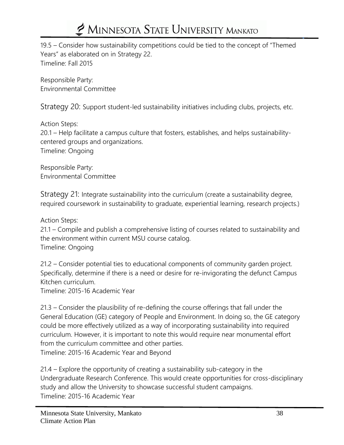19.5 – Consider how sustainability competitions could be tied to the concept of "Themed Years" as elaborated on in Strategy 22. Timeline: Fall 2015

Responsible Party: Environmental Committee

Strategy 20: Support student-led sustainability initiatives including clubs, projects, etc.

Action Steps:

20.1 – Help facilitate a campus culture that fosters, establishes, and helps sustainabilitycentered groups and organizations. Timeline: Ongoing

Responsible Party: Environmental Committee

Strategy 21: Integrate sustainability into the curriculum (create a sustainability degree, required coursework in sustainability to graduate, experiential learning, research projects.)

Action Steps:

21.1 – Compile and publish a comprehensive listing of courses related to sustainability and the environment within current MSU course catalog. Timeline: Ongoing

21.2 – Consider potential ties to educational components of community garden project. Specifically, determine if there is a need or desire for re-invigorating the defunct Campus Kitchen curriculum.

Timeline: 2015-16 Academic Year

21.3 – Consider the plausibility of re-defining the course offerings that fall under the General Education (GE) category of People and Environment. In doing so, the GE category could be more effectively utilized as a way of incorporating sustainability into required curriculum. However, it is important to note this would require near monumental effort from the curriculum committee and other parties. Timeline: 2015-16 Academic Year and Beyond

21.4 – Explore the opportunity of creating a sustainability sub-category in the Undergraduate Research Conference. This would create opportunities for cross-disciplinary study and allow the University to showcase successful student campaigns. Timeline: 2015-16 Academic Year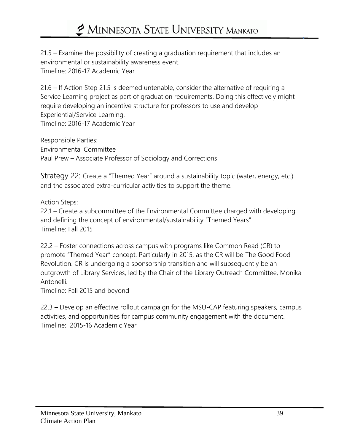21.5 – Examine the possibility of creating a graduation requirement that includes an environmental or sustainability awareness event. Timeline: 2016-17 Academic Year

21.6 – If Action Step 21.5 is deemed untenable, consider the alternative of requiring a Service Learning project as part of graduation requirements. Doing this effectively might require developing an incentive structure for professors to use and develop Experiential/Service Learning. Timeline: 2016-17 Academic Year

Responsible Parties: Environmental Committee Paul Prew – Associate Professor of Sociology and Corrections

Strategy 22: Create a "Themed Year" around a sustainability topic (water, energy, etc.) and the associated extra-curricular activities to support the theme.

Action Steps:

22.1 – Create a subcommittee of the Environmental Committee charged with developing and defining the concept of environmental/sustainability "Themed Years" Timeline: Fall 2015

22.2 – Foster connections across campus with programs like Common Read (CR) to promote "Themed Year" concept. Particularly in 2015, as the CR will be The Good Food Revolution. CR is undergoing a sponsorship transition and will subsequently be an outgrowth of Library Services, led by the Chair of the Library Outreach Committee, Monika Antonelli.

Timeline: Fall 2015 and beyond

22.3 – Develop an effective rollout campaign for the MSU-CAP featuring speakers, campus activities, and opportunities for campus community engagement with the document. Timeline: 2015-16 Academic Year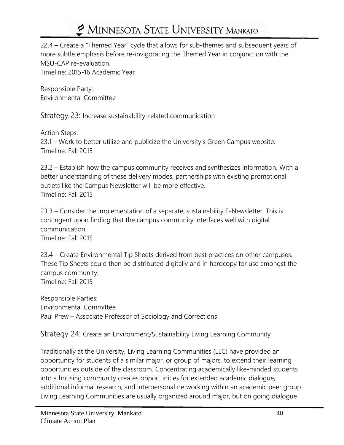22.4 – Create a "Themed Year" cycle that allows for sub-themes and subsequent years of more subtle emphasis before re-invigorating the Themed Year in conjunction with the MSU-CAP re-evaluation. Timeline: 2015-16 Academic Year

Responsible Party: Environmental Committee

Strategy 23: Increase sustainability-related communication

Action Steps: 23.1 – Work to better utilize and publicize the University's Green Campus website. Timeline: Fall 2015

23.2 – Establish how the campus community receives and synthesizes information. With a better understanding of these delivery modes, partnerships with existing promotional outlets like the Campus Newsletter will be more effective. Timeline: Fall 2015

23.3 – Consider the implementation of a separate, sustainability E-Newsletter. This is contingent upon finding that the campus community interfaces well with digital communication. Timeline: Fall 2015

23.4 – Create Environmental Tip Sheets derived from best practices on other campuses. These Tip Sheets could then be distributed digitally and in hardcopy for use amongst the campus community. Timeline: Fall 2015

Responsible Parties: Environmental Committee Paul Prew – Associate Professor of Sociology and Corrections

Strategy 24: Create an Environment/Sustainability Living Learning Community

Traditionally at the University, Living Learning Communities (LLC) have provided an opportunity for students of a similar major, or group of majors, to extend their learning opportunities outside of the classroom. Concentrating academically like-minded students into a housing community creates opportunities for extended academic dialogue, additional informal research, and interpersonal networking within an academic peer group. Living Learning Communities are usually organized around major, but on going dialogue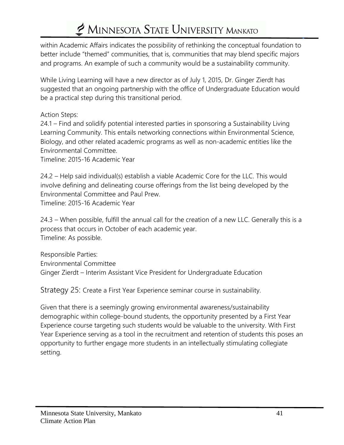within Academic Affairs indicates the possibility of rethinking the conceptual foundation to better include "themed" communities, that is, communities that may blend specific majors and programs. An example of such a community would be a sustainability community.

While Living Learning will have a new director as of July 1, 2015, Dr. Ginger Zierdt has suggested that an ongoing partnership with the office of Undergraduate Education would be a practical step during this transitional period.

Action Steps:

24.1 – Find and solidify potential interested parties in sponsoring a Sustainability Living Learning Community. This entails networking connections within Environmental Science, Biology, and other related academic programs as well as non-academic entities like the Environmental Committee.

Timeline: 2015-16 Academic Year

24.2 – Help said individual(s) establish a viable Academic Core for the LLC. This would involve defining and delineating course offerings from the list being developed by the Environmental Committee and Paul Prew.

Timeline: 2015-16 Academic Year

24.3 – When possible, fulfill the annual call for the creation of a new LLC. Generally this is a process that occurs in October of each academic year. Timeline: As possible.

Responsible Parties: Environmental Committee Ginger Zierdt – Interim Assistant Vice President for Undergraduate Education

Strategy 25: Create a First Year Experience seminar course in sustainability.

Given that there is a seemingly growing environmental awareness/sustainability demographic within college-bound students, the opportunity presented by a First Year Experience course targeting such students would be valuable to the university. With First Year Experience serving as a tool in the recruitment and retention of students this poses an opportunity to further engage more students in an intellectually stimulating collegiate setting.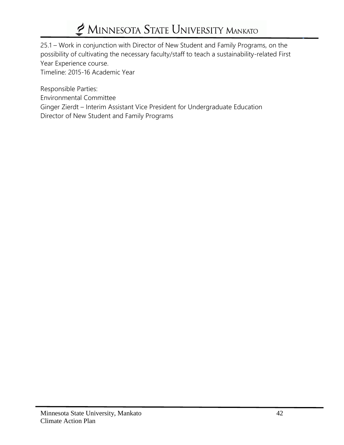25.1 – Work in conjunction with Director of New Student and Family Programs, on the possibility of cultivating the necessary faculty/staff to teach a sustainability-related First Year Experience course.

Timeline: 2015-16 Academic Year

Responsible Parties:

Environmental Committee

Ginger Zierdt – Interim Assistant Vice President for Undergraduate Education

Director of New Student and Family Programs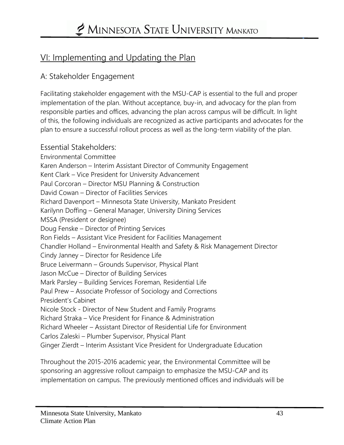### VI: Implementing and Updating the Plan

#### A: Stakeholder Engagement

Facilitating stakeholder engagement with the MSU-CAP is essential to the full and proper implementation of the plan. Without acceptance, buy-in, and advocacy for the plan from responsible parties and offices, advancing the plan across campus will be difficult. In light of this, the following individuals are recognized as active participants and advocates for the plan to ensure a successful rollout process as well as the long-term viability of the plan.

#### Essential Stakeholders:

Environmental Committee Karen Anderson – Interim Assistant Director of Community Engagement Kent Clark – Vice President for University Advancement Paul Corcoran – Director MSU Planning & Construction David Cowan – Director of Facilities Services Richard Davenport – Minnesota State University, Mankato President Karilynn Doffing – General Manager, University Dining Services MSSA (President or designee) Doug Fenske – Director of Printing Services Ron Fields – Assistant Vice President for Facilities Management Chandler Holland – Environmental Health and Safety & Risk Management Director Cindy Janney – Director for Residence Life Bruce Leivermann – Grounds Supervisor, Physical Plant Jason McCue – Director of Building Services Mark Parsley – Building Services Foreman, Residential Life Paul Prew – Associate Professor of Sociology and Corrections President's Cabinet Nicole Stock - Director of New Student and Family Programs Richard Straka – Vice President for Finance & Administration Richard Wheeler – Assistant Director of Residential Life for Environment Carlos Zaleski – Plumber Supervisor, Physical Plant Ginger Zierdt – Interim Assistant Vice President for Undergraduate Education

Throughout the 2015-2016 academic year, the Environmental Committee will be sponsoring an aggressive rollout campaign to emphasize the MSU-CAP and its implementation on campus. The previously mentioned offices and individuals will be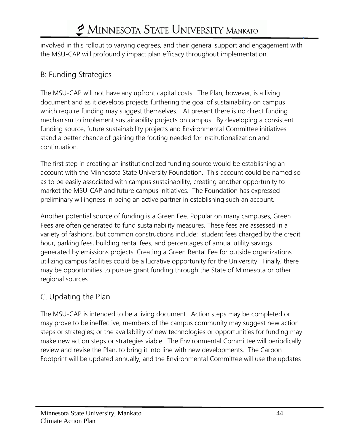involved in this rollout to varying degrees, and their general support and engagement with the MSU-CAP will profoundly impact plan efficacy throughout implementation.

#### B: Funding Strategies

The MSU-CAP will not have any upfront capital costs. The Plan, however, is a living document and as it develops projects furthering the goal of sustainability on campus which require funding may suggest themselves. At present there is no direct funding mechanism to implement sustainability projects on campus. By developing a consistent funding source, future sustainability projects and Environmental Committee initiatives stand a better chance of gaining the footing needed for institutionalization and continuation.

The first step in creating an institutionalized funding source would be establishing an account with the Minnesota State University Foundation. This account could be named so as to be easily associated with campus sustainability, creating another opportunity to market the MSU-CAP and future campus initiatives. The Foundation has expressed preliminary willingness in being an active partner in establishing such an account.

Another potential source of funding is a Green Fee. Popular on many campuses, Green Fees are often generated to fund sustainability measures. These fees are assessed in a variety of fashions, but common constructions include: student fees charged by the credit hour, parking fees, building rental fees, and percentages of annual utility savings generated by emissions projects. Creating a Green Rental Fee for outside organizations utilizing campus facilities could be a lucrative opportunity for the University. Finally, there may be opportunities to pursue grant funding through the State of Minnesota or other regional sources.

#### C. Updating the Plan

The MSU-CAP is intended to be a living document. Action steps may be completed or may prove to be ineffective; members of the campus community may suggest new action steps or strategies; or the availability of new technologies or opportunities for funding may make new action steps or strategies viable. The Environmental Committee will periodically review and revise the Plan, to bring it into line with new developments. The Carbon Footprint will be updated annually, and the Environmental Committee will use the updates